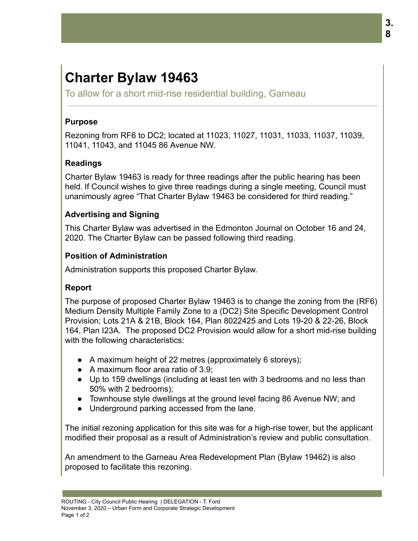# **Charter Bylaw 19463**

To allow for a short mid-rise residential building, Garneau

#### **Purpose**

Rezoning from RF6 to DC2; located at 11023, 11027, 11031, 11033, 11037, 11039, 11041, 11043, and 11045 86 Avenue NW.

## **Readings**

Charter Bylaw 19463 is ready for three readings after the public hearing has been held. If Council wishes to give three readings during a single meeting, Council must unanimously agree "That Charter Bylaw 19463 be considered for third reading."

## **Advertising and Signing**

This Charter Bylaw was advertised in the Edmonton Journal on October 16 and 24, 2020. The Charter Bylaw can be passed following third reading.

#### **Position of Administration**

Administration supports this proposed Charter Bylaw.

## **Report**

The purpose of proposed Charter Bylaw 19463 is to change the zoning from the (RF6) Medium Density Multiple Family Zone to a (DC2) Site Specific Development Control Provision; Lots 21A & 21B, Block 164, Plan 8022425 and Lots 19-20 & 22-26, Block 164, Plan I23A. The proposed DC2 Provision would allow for a short mid-rise building with the following characteristics:

- A maximum height of 22 metres (approximately 6 storeys);
- A maximum floor area ratio of 3.9;
- Up to 159 dwellings (including at least ten with 3 bedrooms and no less than 50% with 2 bedrooms);
- Townhouse style dwellings at the ground level facing 86 Avenue NW; and
- Underground parking accessed from the lane.

The initial rezoning application for this site was for a high-rise tower, but the applicant modified their proposal as a result of Administration's review and public consultation.

An amendment to the Garneau Area Redevelopment Plan (Bylaw 19462) is also proposed to facilitate this rezoning.